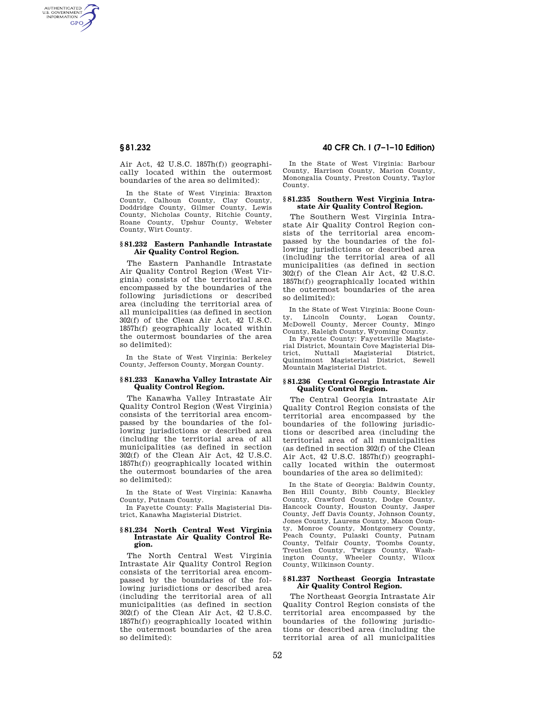AUTHENTICATED<br>U.S. GOVERNMENT<br>INFORMATION **GPO** 

> Air Act, 42 U.S.C. 1857h(f)) geographically located within the outermost boundaries of the area so delimited):

> In the State of West Virginia: Braxton County, Calhoun County, Clay County, Doddridge County, Gilmer County, Lewis County, Nicholas County, Ritchie County, Roane County, Upshur County, Webster County, Wirt County.

## **§ 81.232 Eastern Panhandle Intrastate Air Quality Control Region.**

The Eastern Panhandle Intrastate Air Quality Control Region (West Virginia) consists of the territorial area encompassed by the boundaries of the following jurisdictions or described area (including the territorial area of all municipalities (as defined in section 302(f) of the Clean Air Act, 42 U.S.C. 1857h(f) geographically located within the outermost boundaries of the area so delimited):

In the State of West Virginia: Berkeley County, Jefferson County, Morgan County.

## **§ 81.233 Kanawha Valley Intrastate Air Quality Control Region.**

The Kanawha Valley Intrastate Air Quality Control Region (West Virginia) consists of the territorial area encompassed by the boundaries of the following jurisdictions or described area (including the territorial area of all municipalities (as defined in section 302(f) of the Clean Air Act, 42 U.S.C. 1857h(f)) geographically located within the outermost boundaries of the area so delimited):

In the State of West Virginia: Kanawha County, Putnam County.

In Fayette County: Falls Magisterial District, Kanawha Magisterial District.

## **§ 81.234 North Central West Virginia Intrastate Air Quality Control Region.**

The North Central West Virginia Intrastate Air Quality Control Region consists of the territorial area encompassed by the boundaries of the following jurisdictions or described area (including the territorial area of all municipalities (as defined in section 302(f) of the Clean Air Act, 42 U.S.C. 1857h(f)) geographically located within the outermost boundaries of the area so delimited):

# **§ 81.232 40 CFR Ch. I (7–1–10 Edition)**

In the State of West Virginia: Barbour County, Harrison County, Marion County, Monongalia County, Preston County, Taylor County.

## **§ 81.235 Southern West Virginia Intrastate Air Quality Control Region.**

The Southern West Virginia Intrastate Air Quality Control Region consists of the territorial area encompassed by the boundaries of the following jurisdictions or described area (including the territorial area of all municipalities (as defined in section 302(f) of the Clean Air Act, 42 U.S.C. 1857h(f)) geographically located within the outermost boundaries of the area so delimited):

In the State of West Virginia: Boone Coun-Lincoln County, Logan County, McDowell County, Mercer County, Mingo County, Raleigh County, Wyoming County. In Fayette County: Fayetteville Magiste-

rial District, Mountain Cove Magisterial District, Nuttall Magisterial Quinnimont Magisterial District, Sewell Mountain Magisterial District.

## **§ 81.236 Central Georgia Intrastate Air Quality Control Region.**

The Central Georgia Intrastate Air Quality Control Region consists of the territorial area encompassed by the boundaries of the following jurisdictions or described area (including the territorial area of all municipalities (as defined in section 302(f) of the Clean Air Act, 42 U.S.C. 1857h(f)) geographically located within the outermost boundaries of the area so delimited):

In the State of Georgia: Baldwin County, Ben Hill County, Bibb County, Bleckley County, Crawford County, Dodge County, Hancock County, Houston County, Jasper County, Jeff Davis County, Johnson County, Jones County, Laurens County, Macon County, Monroe County, Montgomery County, Peach County, Pulaski County, Putnam County, Telfair County, Toombs County, Treutlen County, Twiggs County, Washington County, Wheeler County, Wilcox County, Wilkinson County.

## **§ 81.237 Northeast Georgia Intrastate Air Quality Control Region.**

The Northeast Georgia Intrastate Air Quality Control Region consists of the territorial area encompassed by the boundaries of the following jurisdictions or described area (including the territorial area of all municipalities